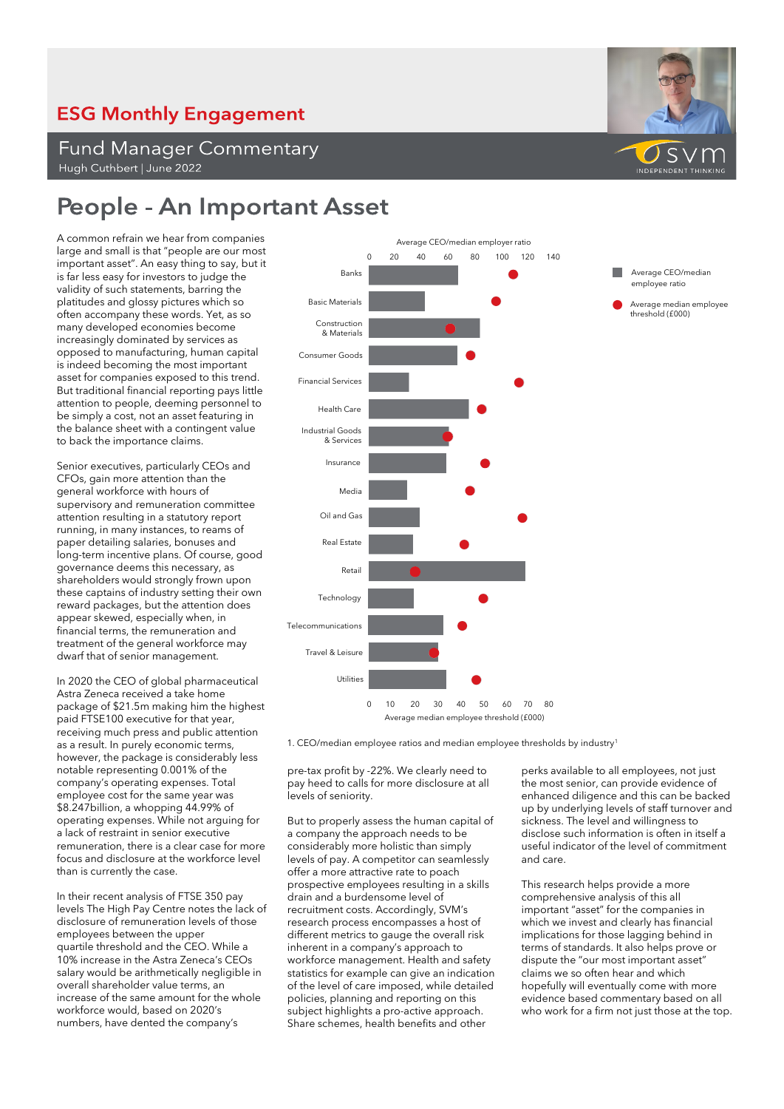## **ESG Monthly Engagement**

**Fund Manager Commentary** Hugh Cuthbert | June 2022

## **People - An Important Asset**

A common refrain we hear from companies large and small is that "people are our most important asset". An easy thing to say, but it is far less easy for investors to judge the validity of such statements, barring the platitudes and glossy pictures which so often accompany these words. Yet, as so many developed economies become increasingly dominated by services as opposed to manufacturing, human capital is indeed becoming the most important asset for companies exposed to this trend. But traditional financial reporting pays little attention to people, deeming personnel to be simply a cost, not an asset featuring in the balance sheet with a contingent value to back the importance claims.

Senior executives, particularly CEOs and CFOs, gain more attention than the general workforce with hours of supervisory and remuneration committee attention resulting in a statutory report running, in many instances, to reams of paper detailing salaries, bonuses and long-term incentive plans. Of course, good governance deems this necessary, as shareholders would strongly frown upon these captains of industry setting their own reward packages, but the attention does appear skewed, especially when, in financial terms, the remuneration and treatment of the general workforce may dwarf that of senior management.

In 2020 the CEO of global pharmaceutical Astra Zeneca received a take home package of \$21.5m making him the highest paid FTSE100 executive for that year, receiving much press and public attention as a result. In purely economic terms, however, the package is considerably less notable representing 0.001% of the company's operating expenses. Total employee cost for the same year was \$8.247billion, a whopping 44.99% of operating expenses. While not arguing for a lack of restraint in senior executive remuneration, there is a clear case for more focus and disclosure at the workforce level than is currently the case.

In their recent analysis of FTSE 350 pay levels The High Pay Centre notes the lack of disclosure of remuneration levels of those employees between the upper quartile threshold and the CEO. While a 10% increase in the Astra Zeneca's CEOs salary would be arithmetically negligible in overall shareholder value terms, an increase of the same amount for the whole workforce would, based on 2020's numbers, have dented the company's



Average median employee threshold (£000)

1. CEO/median employee ratios and median employee thresholds by industry<sup>1</sup>

pre-tax profit by -22%. We clearly need to pay heed to calls for more disclosure at all levels of seniority.

But to properly assess the human capital of a company the approach needs to be considerably more holistic than simply levels of pay. A competitor can seamlessly offer a more attractive rate to poach prospective employees resulting in a skills drain and a burdensome level of recruitment costs. Accordingly, SVM's research process encompasses a host of different metrics to gauge the overall risk inherent in a company's approach to workforce management. Health and safety statistics for example can give an indication of the level of care imposed, while detailed policies, planning and reporting on this subject highlights a pro-active approach. Share schemes, health benefits and other

perks available to all employees, not just the most senior, can provide evidence of enhanced diligence and this can be backed up by underlying levels of staff turnover and sickness. The level and willingness to disclose such information is often in itself a useful indicator of the level of commitment and care.

This research helps provide a more comprehensive analysis of this all important "asset" for the companies in which we invest and clearly has financial implications for those lagging behind in terms of standards. It also helps prove or dispute the "our most important asset" claims we so often hear and which hopefully will eventually come with more evidence based commentary based on all who work for a firm not just those at the top.